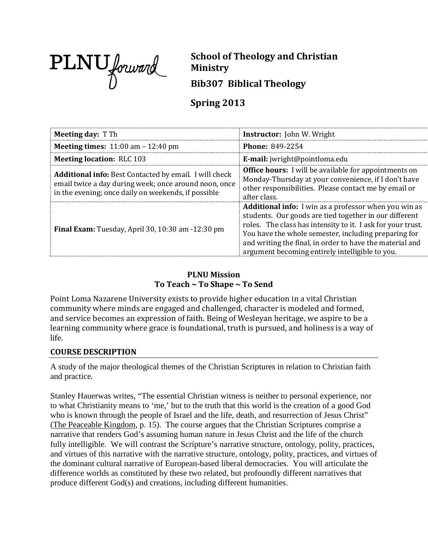

**School of Theology and Christian Ministry Bib307 Biblical Theology**

# **Spring 2013**

| <b>Meeting day: T Th</b>                                                                                                                                                      | <b>Instructor:</b> John W. Wright                                                                                                                                                                                                                                                                                                                            |
|-------------------------------------------------------------------------------------------------------------------------------------------------------------------------------|--------------------------------------------------------------------------------------------------------------------------------------------------------------------------------------------------------------------------------------------------------------------------------------------------------------------------------------------------------------|
| <b>Meeting times:</b> $11:00$ am $-12:40$ pm                                                                                                                                  | Phone: 849-2254                                                                                                                                                                                                                                                                                                                                              |
| <b>Meeting location: RLC 103</b>                                                                                                                                              | E-mail: jwright@pointloma.edu                                                                                                                                                                                                                                                                                                                                |
| <b>Additional info:</b> Best Contacted by email. I will check<br>email twice a day during week; once around noon, once<br>in the evening; once daily on weekends, if possible | <b>Office hours:</b> I will be available for appointments on<br>Monday-Thursday at your convenience, if I don't have<br>other responsibilities. Please contact me by email or<br>after class.                                                                                                                                                                |
| <b>Final Exam:</b> Tuesday, April 30, 10:30 am -12:30 pm                                                                                                                      | <b>Additional info:</b> I win as a professor when you win as<br>students. Our goods are tied together in our different<br>roles. The class has intensity to it. I ask for your trust.<br>You have the whole semester, including preparing for<br>and writing the final, in order to have the material and<br>argument becoming entirely intelligible to you. |

## **PLNU Mission To Teach ~ To Shape ~ To Send**

Point Loma Nazarene University exists to provide higher education in a vital Christian community where minds are engaged and challenged, character is modeled and formed, and service becomes an expression of faith. Being of Wesleyan heritage, we aspire to be a learning community where grace is foundational, truth is pursued, and holiness is a way of life.

## **COURSE DESCRIPTION**

A study of the major theological themes of the Christian Scriptures in relation to Christian faith and practice.

Stanley Hauerwas writes, "The essential Christian witness is neither to personal experience, nor to what Christianity means to 'me,' but to the truth that this world is the creation of a good God who is known through the people of Israel and the life, death, and resurrection of Jesus Christ" (The Peaceable Kingdom, p. 15). The course argues that the Christian Scriptures comprise a narrative that renders God's assuming human nature in Jesus Christ and the life of the church fully intelligible. We will contrast the Scripture's narrative structure, ontology, polity, practices, and virtues of this narrative with the narrative structure, ontology, polity, practices, and virtues of the dominant cultural narrative of European-based liberal democracies. You will articulate the difference worlds as constituted by these two related, but profoundly different narratives that produce different God(s) and creations, including different humanities.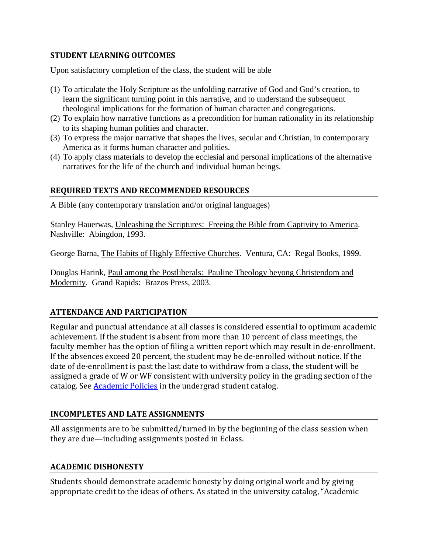#### **STUDENT LEARNING OUTCOMES**

Upon satisfactory completion of the class, the student will be able

- (1) To articulate the Holy Scripture as the unfolding narrative of God and God's creation, to learn the significant turning point in this narrative, and to understand the subsequent theological implications for the formation of human character and congregations.
- (2) To explain how narrative functions as a precondition for human rationality in its relationship to its shaping human polities and character.
- (3) To express the major narrative that shapes the lives, secular and Christian, in contemporary America as it forms human character and polities.
- (4) To apply class materials to develop the ecclesial and personal implications of the alternative narratives for the life of the church and individual human beings.

## **REQUIRED TEXTS AND RECOMMENDED RESOURCES**

A Bible (any contemporary translation and/or original languages)

Stanley Hauerwas, Unleashing the Scriptures: Freeing the Bible from Captivity to America. Nashville: Abingdon, 1993.

George Barna, The Habits of Highly Effective Churches. Ventura, CA: Regal Books, 1999.

Douglas Harink, Paul among the Postliberals: Pauline Theology beyong Christendom and Modernity. Grand Rapids: Brazos Press, 2003.

## **ATTENDANCE AND PARTICIPATION**

Regular and punctual attendance at all classes is considered essential to optimum academic achievement. If the student is absent from more than 10 percent of class meetings, the faculty member has the option of filing a written report which may result in de-enrollment. If the absences exceed 20 percent, the student may be de-enrolled without notice. If the date of de-enrollment is past the last date to withdraw from a class, the student will be assigned a grade of W or WF consistent with university policy in the grading section of the catalog. See [Academic Policies](http://www.pointloma.edu/experience/academics/catalogs/undergraduate-catalog/point-loma-education/academic-policies) in the undergrad student catalog.

## **INCOMPLETES AND LATE ASSIGNMENTS**

All assignments are to be submitted/turned in by the beginning of the class session when they are due—including assignments posted in Eclass.

## **ACADEMIC DISHONESTY**

Students should demonstrate academic honesty by doing original work and by giving appropriate credit to the ideas of others. As stated in the university catalog, "Academic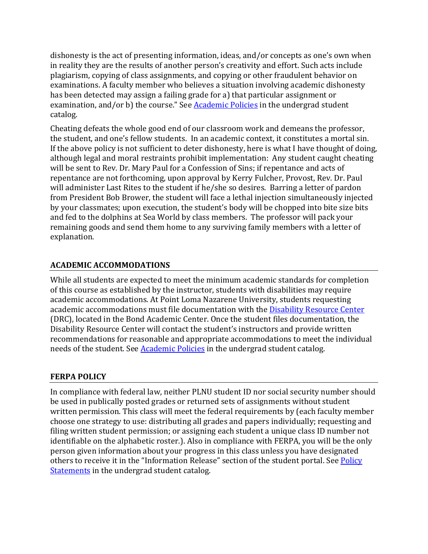dishonesty is the act of presenting information, ideas, and/or concepts as one's own when in reality they are the results of another person's creativity and effort. Such acts include plagiarism, copying of class assignments, and copying or other fraudulent behavior on examinations. A faculty member who believes a situation involving academic dishonesty has been detected may assign a failing grade for a) that particular assignment or examination, and/or b) the course." See [Academic Policies](http://www.pointloma.edu/experience/academics/catalogs/undergraduate-catalog/point-loma-education/academic-policies) in the undergrad student catalog.

Cheating defeats the whole good end of our classroom work and demeans the professor, the student, and one's fellow students. In an academic context, it constitutes a mortal sin. If the above policy is not sufficient to deter dishonesty, here is what I have thought of doing, although legal and moral restraints prohibit implementation: Any student caught cheating will be sent to Rev. Dr. Mary Paul for a Confession of Sins; if repentance and acts of repentance are not forthcoming, upon approval by Kerry Fulcher, Provost, Rev. Dr. Paul will administer Last Rites to the student if he/she so desires. Barring a letter of pardon from President Bob Brower, the student will face a lethal injection simultaneously injected by your classmates; upon execution, the student's body will be chopped into bite size bits and fed to the dolphins at Sea World by class members. The professor will pack your remaining goods and send them home to any surviving family members with a letter of explanation.

## **ACADEMIC ACCOMMODATIONS**

While all students are expected to meet the minimum academic standards for completion of this course as established by the instructor, students with disabilities may require academic accommodations. At Point Loma Nazarene University, students requesting academic accommodations must file documentation with th[e Disability Resource Center](http://www.pointloma.edu/experience/offices/administrative-offices/academic-advising-office/disability-resource-center) (DRC), located in the Bond Academic Center. Once the student files documentation, the Disability Resource Center will contact the student's instructors and provide written recommendations for reasonable and appropriate accommodations to meet the individual needs of the student. See **Academic Policies** in the undergrad student catalog.

## **FERPA POLICY**

In compliance with federal law, neither PLNU student ID nor social security number should be used in publically posted grades or returned sets of assignments without student written permission. This class will meet the federal requirements by (each faculty member choose one strategy to use: distributing all grades and papers individually; requesting and filing written student permission; or assigning each student a unique class ID number not identifiable on the alphabetic roster.). Also in compliance with FERPA, you will be the only person given information about your progress in this class unless you have designated others to receive it in the "Information Release" section of the student portal. See Policy [Statements](http://www.pointloma.edu/experience/academics/catalogs/undergraduate-catalog/policy-statements) in the undergrad student catalog.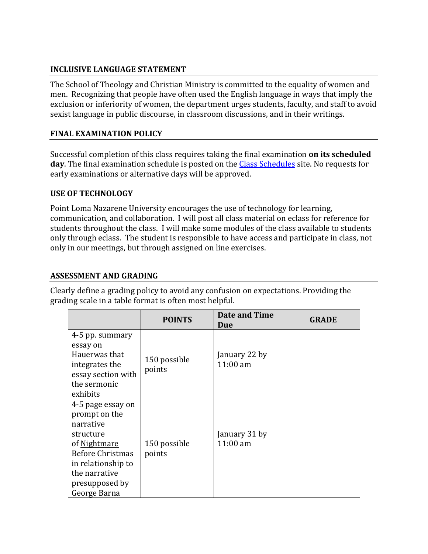## **INCLUSIVE LANGUAGE STATEMENT**

The School of Theology and Christian Ministry is committed to the equality of women and men. Recognizing that people have often used the English language in ways that imply the exclusion or inferiority of women, the department urges students, faculty, and staff to avoid sexist language in public discourse, in classroom discussions, and in their writings.

## **FINAL EXAMINATION POLICY**

Successful completion of this class requires taking the final examination **on its scheduled day**. The final examination schedule is posted on the [Class Schedules](http://www.pointloma.edu/experience/academics/class-schedules) site. No requests for early examinations or alternative days will be approved.

## **USE OF TECHNOLOGY**

Point Loma Nazarene University encourages the use of technology for learning, communication, and collaboration. I will post all class material on eclass for reference for students throughout the class. I will make some modules of the class available to students only through eclass. The student is responsible to have access and participate in class, not only in our meetings, but through assigned on line exercises.

#### **ASSESSMENT AND GRADING**

Clearly define a grading policy to avoid any confusion on expectations. Providing the grading scale in a table format is often most helpful.

|                                                                                                                                                                                  | <b>POINTS</b>          | <b>Date and Time</b><br>Due | <b>GRADE</b> |
|----------------------------------------------------------------------------------------------------------------------------------------------------------------------------------|------------------------|-----------------------------|--------------|
| 4-5 pp. summary<br>essay on<br>Hauerwas that<br>integrates the<br>essay section with<br>the sermonic                                                                             | 150 possible<br>points | January 22 by<br>$11:00$ am |              |
| exhibits                                                                                                                                                                         |                        |                             |              |
| 4-5 page essay on<br>prompt on the<br>narrative<br>structure<br>of Nightmare<br><b>Before Christmas</b><br>in relationship to<br>the narrative<br>presupposed by<br>George Barna | 150 possible<br>points | January 31 by<br>$11:00$ am |              |